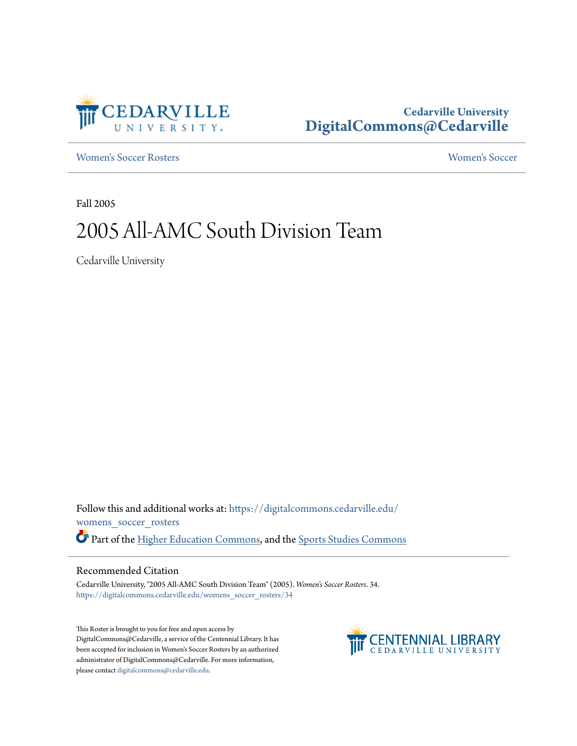

### **Cedarville University [DigitalCommons@Cedarville](https://digitalcommons.cedarville.edu?utm_source=digitalcommons.cedarville.edu%2Fwomens_soccer_rosters%2F34&utm_medium=PDF&utm_campaign=PDFCoverPages)**

[Women's Soccer Rosters](https://digitalcommons.cedarville.edu/womens_soccer_rosters?utm_source=digitalcommons.cedarville.edu%2Fwomens_soccer_rosters%2F34&utm_medium=PDF&utm_campaign=PDFCoverPages) [Women's Soccer](https://digitalcommons.cedarville.edu/womens_soccer?utm_source=digitalcommons.cedarville.edu%2Fwomens_soccer_rosters%2F34&utm_medium=PDF&utm_campaign=PDFCoverPages)

Fall 2005

## 2005 All-AMC South Division Team

Cedarville University

Follow this and additional works at: [https://digitalcommons.cedarville.edu/](https://digitalcommons.cedarville.edu/womens_soccer_rosters?utm_source=digitalcommons.cedarville.edu%2Fwomens_soccer_rosters%2F34&utm_medium=PDF&utm_campaign=PDFCoverPages) [womens\\_soccer\\_rosters](https://digitalcommons.cedarville.edu/womens_soccer_rosters?utm_source=digitalcommons.cedarville.edu%2Fwomens_soccer_rosters%2F34&utm_medium=PDF&utm_campaign=PDFCoverPages) Part of the [Higher Education Commons](http://network.bepress.com/hgg/discipline/1245?utm_source=digitalcommons.cedarville.edu%2Fwomens_soccer_rosters%2F34&utm_medium=PDF&utm_campaign=PDFCoverPages), and the [Sports Studies Commons](http://network.bepress.com/hgg/discipline/1198?utm_source=digitalcommons.cedarville.edu%2Fwomens_soccer_rosters%2F34&utm_medium=PDF&utm_campaign=PDFCoverPages)

#### Recommended Citation

Cedarville University, "2005 All-AMC South Division Team" (2005). *Women's Soccer Rosters*. 34. [https://digitalcommons.cedarville.edu/womens\\_soccer\\_rosters/34](https://digitalcommons.cedarville.edu/womens_soccer_rosters/34?utm_source=digitalcommons.cedarville.edu%2Fwomens_soccer_rosters%2F34&utm_medium=PDF&utm_campaign=PDFCoverPages)

This Roster is brought to you for free and open access by DigitalCommons@Cedarville, a service of the Centennial Library. It has been accepted for inclusion in Women's Soccer Rosters by an authorized administrator of DigitalCommons@Cedarville. For more information, please contact [digitalcommons@cedarville.edu.](mailto:digitalcommons@cedarville.edu)